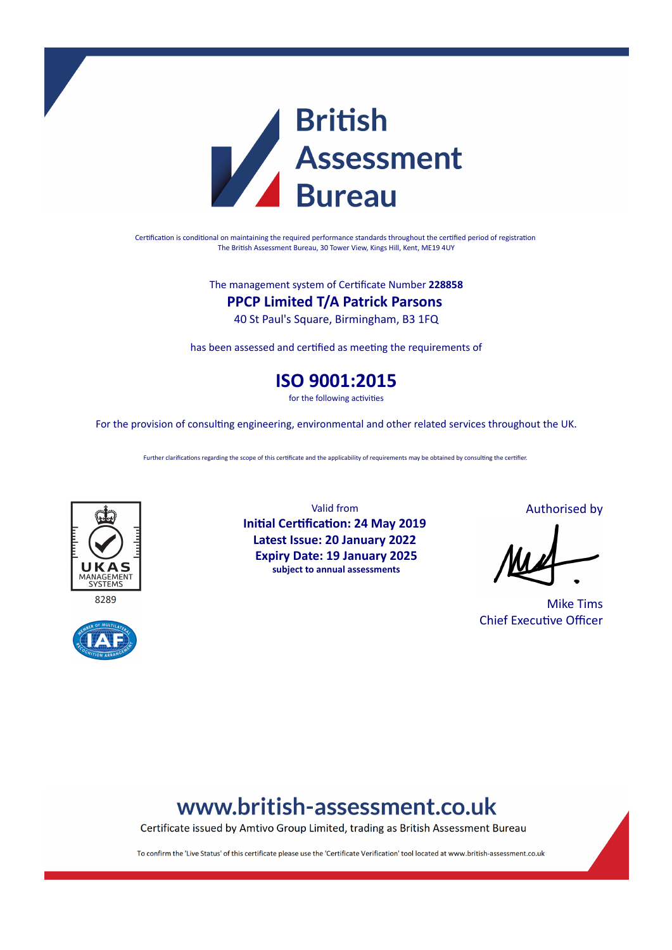

Certification is conditional on maintaining the required performance standards throughout the certified period of registration The British Assessment Bureau, 30 Tower View, Kings Hill, Kent, ME19 4UY

The management system of Certificate Number **228858**

### **PPCP Limited T/A Patrick Parsons**

40 St Paul's Square, Birmingham, B3 1FQ

has been assessed and certified as meeting the requirements of

### **ISO 9001:2015**

for the following activities

For the provision of consulting engineering, environmental and other related services throughout the UK.

Further clarifications regarding the scope of this certificate and the applicability of requirements may be obtained by consulting the certifier.





Valid from **Initial Certification: 24 May 2019 Latest Issue: 20 January 2022 Expiry Date: 19 January 2025 subject to annual assessments**

Authorised by

Mike Tims Chief Executive Officer

# www.british-assessment.co.uk

Certificate issued by Amtivo Group Limited, trading as British Assessment Bureau

To confirm the 'Live Status' of this certificate please use the 'Certificate Verification' tool located at www.british-assessment.co.uk